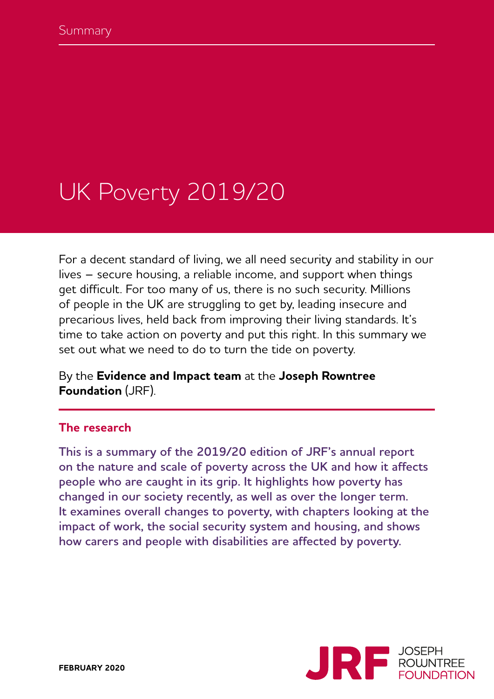# UK Poverty 2019/20

For a decent standard of living, we all need security and stability in our lives – secure housing, a reliable income, and support when things get difficult. For too many of us, there is no such security. Millions of people in the UK are struggling to get by, leading insecure and precarious lives, held back from improving their living standards. It's time to take action on poverty and put this right. In this summary we set out what we need to do to turn the tide on poverty.

By the **Evidence and Impact team** at the **Joseph Rowntree Foundation** (JRF).

#### **The research**

**This is a summary of the 2019/20 edition of JRF's annual report on the nature and scale of poverty across the UK and how it affects people who are caught in its grip. It highlights how poverty has changed in our society recently, as well as over the longer term. It examines overall changes to poverty, with chapters looking at the impact of work, the social security system and housing, and shows how carers and people with disabilities are affected by poverty.**

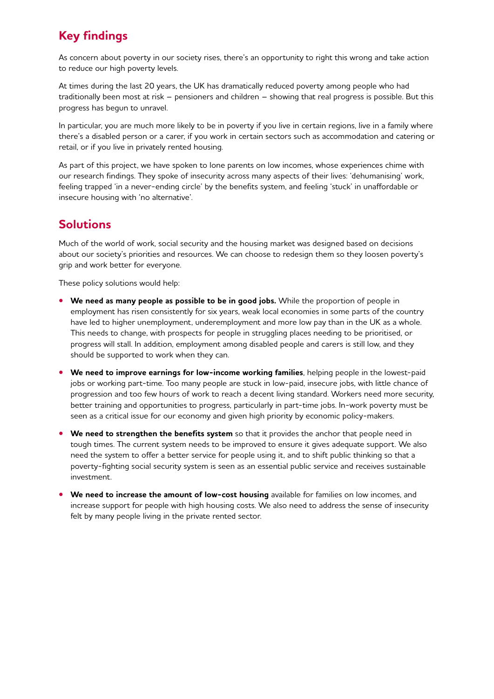# **Key findings**

As concern about poverty in our society rises, there's an opportunity to right this wrong and take action to reduce our high poverty levels.

At times during the last 20 years, the UK has dramatically reduced poverty among people who had traditionally been most at risk – pensioners and children – showing that real progress is possible. But this progress has begun to unravel.

In particular, you are much more likely to be in poverty if you live in certain regions, live in a family where there's a disabled person or a carer, if you work in certain sectors such as accommodation and catering or retail, or if you live in privately rented housing.

As part of this project, we have spoken to lone parents on low incomes, whose experiences chime with our research findings. They spoke of insecurity across many aspects of their lives: 'dehumanising' work, feeling trapped 'in a never-ending circle' by the benefits system, and feeling 'stuck' in unaffordable or insecure housing with 'no alternative'.

# **Solutions**

Much of the world of work, social security and the housing market was designed based on decisions about our society's priorities and resources. We can choose to redesign them so they loosen poverty's grip and work better for everyone.

These policy solutions would help:

- **• We need as many people as possible to be in good jobs.** While the proportion of people in employment has risen consistently for six years, weak local economies in some parts of the country have led to higher unemployment, underemployment and more low pay than in the UK as a whole. This needs to change, with prospects for people in struggling places needing to be prioritised, or progress will stall. In addition, employment among disabled people and carers is still low, and they should be supported to work when they can.
- **• We need to improve earnings for low-income working families**, helping people in the lowest-paid jobs or working part-time. Too many people are stuck in low-paid, insecure jobs, with little chance of progression and too few hours of work to reach a decent living standard. Workers need more security, better training and opportunities to progress, particularly in part-time jobs. In-work poverty must be seen as a critical issue for our economy and given high priority by economic policy-makers.
- **• We need to strengthen the benefits system** so that it provides the anchor that people need in tough times. The current system needs to be improved to ensure it gives adequate support. We also need the system to offer a better service for people using it, and to shift public thinking so that a poverty-fighting social security system is seen as an essential public service and receives sustainable investment.
- **• We need to increase the amount of low-cost housing** available for families on low incomes, and increase support for people with high housing costs. We also need to address the sense of insecurity felt by many people living in the private rented sector.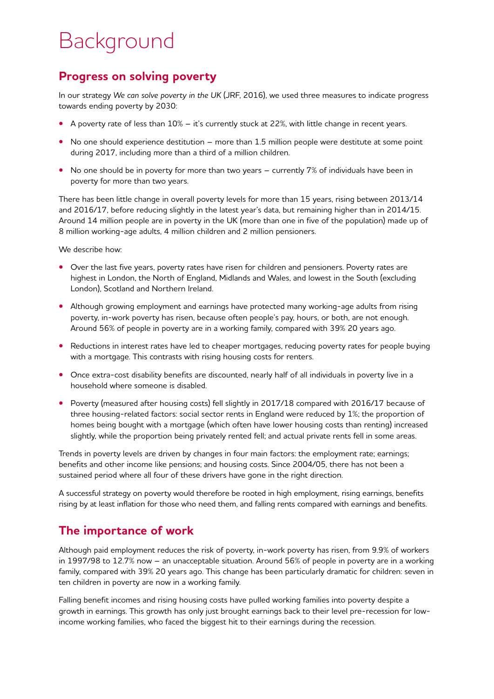# Background

#### **Progress on solving poverty**

In our strategy *We can solve poverty in the UK* (JRF, 2016), we used three measures to indicate progress towards ending poverty by 2030:

- **•** A poverty rate of less than 10% it's currently stuck at 22%, with little change in recent years.
- No one should experience destitution more than 1.5 million people were destitute at some point during 2017, including more than a third of a million children.
- No one should be in poverty for more than two years currently 7% of individuals have been in poverty for more than two years.

There has been little change in overall poverty levels for more than 15 years, rising between 2013/14 and 2016/17, before reducing slightly in the latest year's data, but remaining higher than in 2014/15. Around 14 million people are in poverty in the UK (more than one in five of the population) made up of 8 million working-age adults, 4 million children and 2 million pensioners.

We describe how:

- **•** Over the last five years, poverty rates have risen for children and pensioners. Poverty rates are highest in London, the North of England, Midlands and Wales, and lowest in the South (excluding London), Scotland and Northern Ireland.
- **•** Although growing employment and earnings have protected many working-age adults from rising poverty, in-work poverty has risen, because often people's pay, hours, or both, are not enough. Around 56% of people in poverty are in a working family, compared with 39% 20 years ago.
- **•** Reductions in interest rates have led to cheaper mortgages, reducing poverty rates for people buying with a mortgage. This contrasts with rising housing costs for renters.
- Once extra-cost disability benefits are discounted, nearly half of all individuals in poverty live in a household where someone is disabled.
- **•** Poverty (measured after housing costs) fell slightly in 2017/18 compared with 2016/17 because of three housing-related factors: social sector rents in England were reduced by 1%; the proportion of homes being bought with a mortgage (which often have lower housing costs than renting) increased slightly, while the proportion being privately rented fell; and actual private rents fell in some areas.

Trends in poverty levels are driven by changes in four main factors: the employment rate; earnings; benefits and other income like pensions; and housing costs. Since 2004/05, there has not been a sustained period where all four of these drivers have gone in the right direction.

A successful strategy on poverty would therefore be rooted in high employment, rising earnings, benefits rising by at least inflation for those who need them, and falling rents compared with earnings and benefits.

# **The importance of work**

Although paid employment reduces the risk of poverty, in-work poverty has risen, from 9.9% of workers in 1997/98 to 12.7% now – an unacceptable situation. Around 56% of people in poverty are in a working family, compared with 39% 20 years ago. This change has been particularly dramatic for children: seven in ten children in poverty are now in a working family.

Falling benefit incomes and rising housing costs have pulled working families into poverty despite a growth in earnings. This growth has only just brought earnings back to their level pre-recession for lowincome working families, who faced the biggest hit to their earnings during the recession.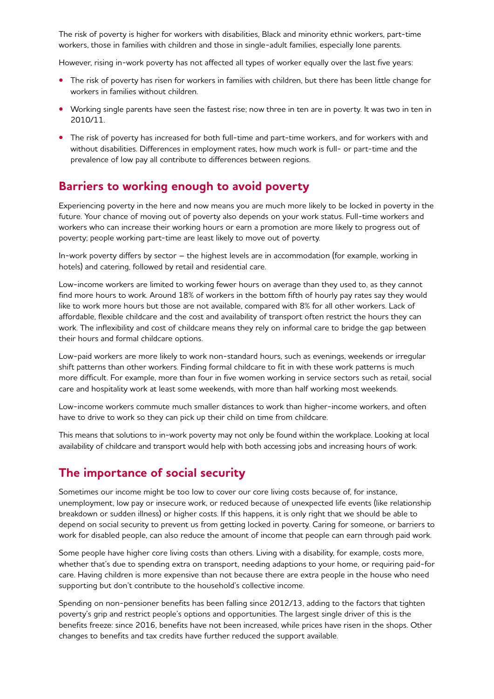The risk of poverty is higher for workers with disabilities, Black and minority ethnic workers, part-time workers, those in families with children and those in single-adult families, especially lone parents.

However, rising in-work poverty has not affected all types of worker equally over the last five years:

- **•** The risk of poverty has risen for workers in families with children, but there has been little change for workers in families without children.
- **•** Working single parents have seen the fastest rise; now three in ten are in poverty. It was two in ten in 2010/11.
- **•** The risk of poverty has increased for both full-time and part-time workers, and for workers with and without disabilities. Differences in employment rates, how much work is full- or part-time and the prevalence of low pay all contribute to differences between regions.

#### **Barriers to working enough to avoid poverty**

Experiencing poverty in the here and now means you are much more likely to be locked in poverty in the future. Your chance of moving out of poverty also depends on your work status. Full-time workers and workers who can increase their working hours or earn a promotion are more likely to progress out of poverty; people working part-time are least likely to move out of poverty.

In-work poverty differs by sector – the highest levels are in accommodation (for example, working in hotels) and catering, followed by retail and residential care.

Low-income workers are limited to working fewer hours on average than they used to, as they cannot find more hours to work. Around 18% of workers in the bottom fifth of hourly pay rates say they would like to work more hours but those are not available, compared with 8% for all other workers. Lack of affordable, flexible childcare and the cost and availability of transport often restrict the hours they can work. The inflexibility and cost of childcare means they rely on informal care to bridge the gap between their hours and formal childcare options.

Low-paid workers are more likely to work non-standard hours, such as evenings, weekends or irregular shift patterns than other workers. Finding formal childcare to fit in with these work patterns is much more difficult. For example, more than four in five women working in service sectors such as retail, social care and hospitality work at least some weekends, with more than half working most weekends.

Low-income workers commute much smaller distances to work than higher-income workers, and often have to drive to work so they can pick up their child on time from childcare.

This means that solutions to in-work poverty may not only be found within the workplace. Looking at local availability of childcare and transport would help with both accessing jobs and increasing hours of work.

#### **The importance of social security**

Sometimes our income might be too low to cover our core living costs because of, for instance, unemployment, low pay or insecure work, or reduced because of unexpected life events (like relationship breakdown or sudden illness) or higher costs. If this happens, it is only right that we should be able to depend on social security to prevent us from getting locked in poverty. Caring for someone, or barriers to work for disabled people, can also reduce the amount of income that people can earn through paid work.

Some people have higher core living costs than others. Living with a disability, for example, costs more, whether that's due to spending extra on transport, needing adaptions to your home, or requiring paid-for care. Having children is more expensive than not because there are extra people in the house who need supporting but don't contribute to the household's collective income.

Spending on non-pensioner benefits has been falling since 2012/13, adding to the factors that tighten poverty's grip and restrict people's options and opportunities. The largest single driver of this is the benefits freeze: since 2016, benefits have not been increased, while prices have risen in the shops. Other changes to benefits and tax credits have further reduced the support available.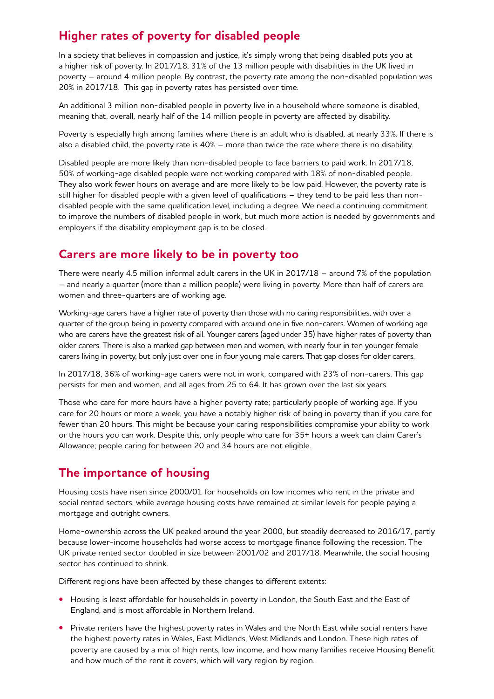# **Higher rates of poverty for disabled people**

In a society that believes in compassion and justice, it's simply wrong that being disabled puts you at a higher risk of poverty. In 2017/18, 31% of the 13 million people with disabilities in the UK lived in poverty – around 4 million people. By contrast, the poverty rate among the non-disabled population was 20% in 2017/18. This gap in poverty rates has persisted over time.

An additional 3 million non-disabled people in poverty live in a household where someone is disabled, meaning that, overall, nearly half of the 14 million people in poverty are affected by disability.

Poverty is especially high among families where there is an adult who is disabled, at nearly 33%. If there is also a disabled child, the poverty rate is 40% – more than twice the rate where there is no disability.

Disabled people are more likely than non-disabled people to face barriers to paid work. In 2017/18, 50% of working-age disabled people were not working compared with 18% of non-disabled people. They also work fewer hours on average and are more likely to be low paid. However, the poverty rate is still higher for disabled people with a given level of qualifications – they tend to be paid less than nondisabled people with the same qualification level, including a degree. We need a continuing commitment to improve the numbers of disabled people in work, but much more action is needed by governments and employers if the disability employment gap is to be closed.

#### **Carers are more likely to be in poverty too**

There were nearly 4.5 million informal adult carers in the UK in 2017/18 – around 7% of the population – and nearly a quarter (more than a million people) were living in poverty. More than half of carers are women and three-quarters are of working age.

Working-age carers have a higher rate of poverty than those with no caring responsibilities, with over a quarter of the group being in poverty compared with around one in five non-carers. Women of working age who are carers have the greatest risk of all. Younger carers (aged under 35) have higher rates of poverty than older carers. There is also a marked gap between men and women, with nearly four in ten younger female carers living in poverty, but only just over one in four young male carers. That gap closes for older carers.

In 2017/18, 36% of working-age carers were not in work, compared with 23% of non-carers. This gap persists for men and women, and all ages from 25 to 64. It has grown over the last six years.

Those who care for more hours have a higher poverty rate; particularly people of working age. If you care for 20 hours or more a week, you have a notably higher risk of being in poverty than if you care for fewer than 20 hours. This might be because your caring responsibilities compromise your ability to work or the hours you can work. Despite this, only people who care for 35+ hours a week can claim Carer's Allowance; people caring for between 20 and 34 hours are not eligible.

# **The importance of housing**

Housing costs have risen since 2000/01 for households on low incomes who rent in the private and social rented sectors, while average housing costs have remained at similar levels for people paying a mortgage and outright owners.

Home-ownership across the UK peaked around the year 2000, but steadily decreased to 2016/17, partly because lower-income households had worse access to mortgage finance following the recession. The UK private rented sector doubled in size between 2001/02 and 2017/18. Meanwhile, the social housing sector has continued to shrink.

Different regions have been affected by these changes to different extents:

- **•** Housing is least affordable for households in poverty in London, the South East and the East of England, and is most affordable in Northern Ireland.
- **•** Private renters have the highest poverty rates in Wales and the North East while social renters have the highest poverty rates in Wales, East Midlands, West Midlands and London. These high rates of poverty are caused by a mix of high rents, low income, and how many families receive Housing Benefit and how much of the rent it covers, which will vary region by region.